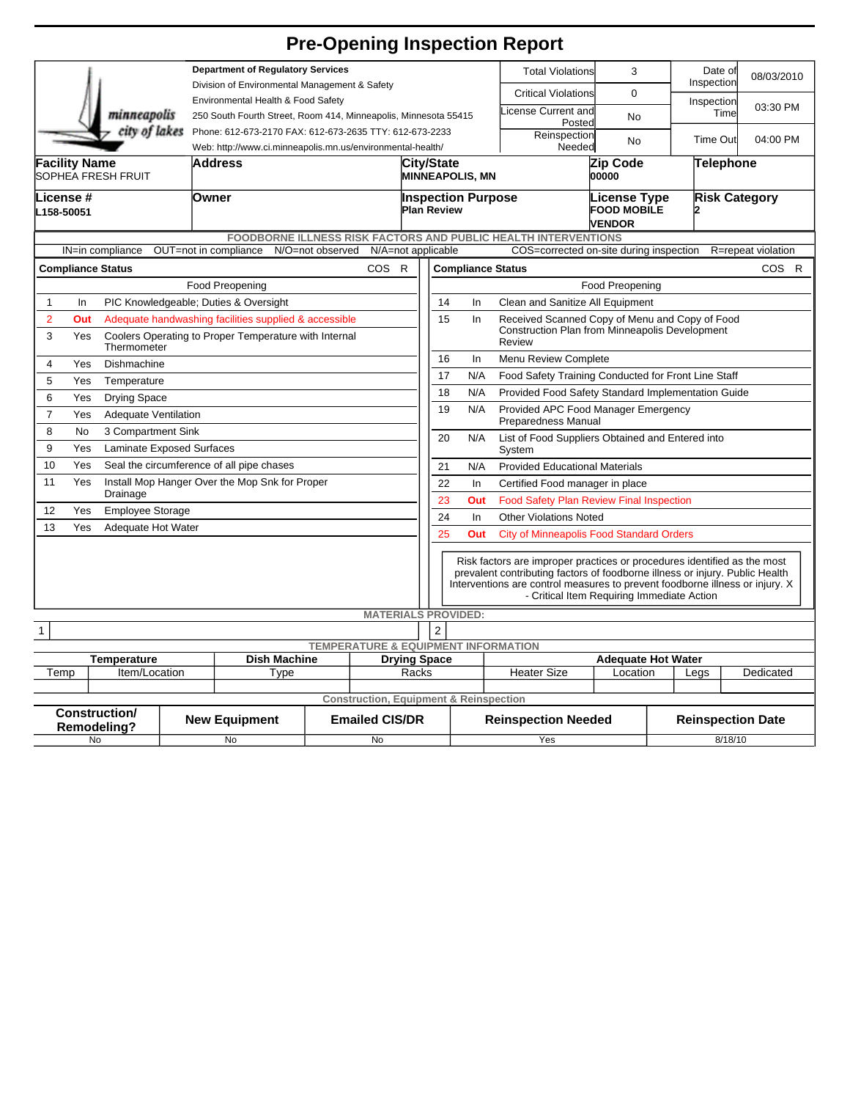## **Pre-Opening Inspection Report**

|                                                                         |                                                  |  |                                                                                           |                  |                            |                              |                                                                                                                                                                                                                                                                                        |                                                              |                                 |                                                          |                           |                      | Date of    |                    |
|-------------------------------------------------------------------------|--------------------------------------------------|--|-------------------------------------------------------------------------------------------|------------------|----------------------------|------------------------------|----------------------------------------------------------------------------------------------------------------------------------------------------------------------------------------------------------------------------------------------------------------------------------------|--------------------------------------------------------------|---------------------------------|----------------------------------------------------------|---------------------------|----------------------|------------|--------------------|
|                                                                         |                                                  |  | <b>Department of Regulatory Services</b><br>Division of Environmental Management & Safety |                  |                            |                              |                                                                                                                                                                                                                                                                                        |                                                              |                                 | <b>Total Violations</b>                                  | 3                         |                      | Inspection | 08/03/2010         |
|                                                                         |                                                  |  | Environmental Health & Food Safety                                                        |                  |                            |                              |                                                                                                                                                                                                                                                                                        |                                                              |                                 | <b>Critical Violations</b>                               | $\mathbf 0$               |                      | Inspection |                    |
|                                                                         | minneapolis                                      |  | 250 South Fourth Street, Room 414, Minneapolis, Minnesota 55415                           |                  |                            |                              |                                                                                                                                                                                                                                                                                        |                                                              |                                 | icense Current and                                       | No                        |                      | Time       | 03:30 PM           |
|                                                                         | city of lakes                                    |  | Phone: 612-673-2170 FAX: 612-673-2635 TTY: 612-673-2233                                   |                  |                            |                              |                                                                                                                                                                                                                                                                                        |                                                              | Posted<br>Reinspection          |                                                          |                           |                      |            |                    |
| Web: http://www.ci.minneapolis.mn.us/environmental-health/              |                                                  |  |                                                                                           |                  |                            |                              |                                                                                                                                                                                                                                                                                        |                                                              | <b>Time Out</b><br>No<br>Needed |                                                          |                           | 04:00 PM             |            |                    |
| <b>Facility Name</b>                                                    |                                                  |  | Address                                                                                   |                  |                            |                              | <b>City/State</b>                                                                                                                                                                                                                                                                      |                                                              |                                 | Zip Code                                                 |                           | Telephone            |            |                    |
|                                                                         | SOPHEA FRESH FRUIT                               |  |                                                                                           |                  |                            |                              | <b>MINNEAPOLIS, MN</b>                                                                                                                                                                                                                                                                 |                                                              |                                 | 00000                                                    |                           |                      |            |                    |
| -icense #<br>L158-50051                                                 |                                                  |  | Owner                                                                                     |                  |                            |                              | <b>Inspection Purpose</b><br><b>Plan Review</b>                                                                                                                                                                                                                                        |                                                              |                                 | License Type<br><b>FOOD MOBILE</b><br><b>VENDOR</b>      |                           | <b>Risk Category</b> |            |                    |
| <b>FOODBORNE ILLNESS RISK FACTORS AND PUBLIC HEALTH INTERVENTIONS</b>   |                                                  |  |                                                                                           |                  |                            |                              |                                                                                                                                                                                                                                                                                        |                                                              |                                 |                                                          |                           |                      |            |                    |
|                                                                         | IN=in compliance                                 |  | OUT=not in compliance                                                                     | N/O=not observed | N/A=not applicable         |                              |                                                                                                                                                                                                                                                                                        |                                                              |                                 | COS=corrected on-site during inspection                  |                           |                      |            | R=repeat violation |
|                                                                         | <b>COS</b><br><b>Compliance Status</b><br>R      |  |                                                                                           |                  |                            |                              | COS R<br><b>Compliance Status</b>                                                                                                                                                                                                                                                      |                                                              |                                 |                                                          |                           |                      |            |                    |
|                                                                         |                                                  |  | Food Preopening                                                                           |                  |                            |                              | Food Preopening                                                                                                                                                                                                                                                                        |                                                              |                                 |                                                          |                           |                      |            |                    |
| $\mathbf{1}$<br>In                                                      |                                                  |  | PIC Knowledgeable; Duties & Oversight                                                     |                  |                            |                              | 14<br>Clean and Sanitize All Equipment<br>In                                                                                                                                                                                                                                           |                                                              |                                 |                                                          |                           |                      |            |                    |
| $\overline{2}$<br>Out                                                   |                                                  |  | Adequate handwashing facilities supplied & accessible                                     |                  |                            |                              | 15                                                                                                                                                                                                                                                                                     | In                                                           |                                 | Received Scanned Copy of Menu and Copy of Food           |                           |                      |            |                    |
| 3<br>Yes                                                                | Thermometer                                      |  | Coolers Operating to Proper Temperature with Internal                                     |                  |                            |                              |                                                                                                                                                                                                                                                                                        |                                                              |                                 | Construction Plan from Minneapolis Development<br>Review |                           |                      |            |                    |
| $\overline{4}$                                                          | Yes<br>Dishmachine                               |  |                                                                                           |                  |                            |                              | 16<br>Menu Review Complete<br>In                                                                                                                                                                                                                                                       |                                                              |                                 |                                                          |                           |                      |            |                    |
| 5<br>Yes                                                                | Temperature                                      |  |                                                                                           |                  |                            |                              | 17<br>N/A<br>Food Safety Training Conducted for Front Line Staff                                                                                                                                                                                                                       |                                                              |                                 |                                                          |                           |                      |            |                    |
| 6<br>Yes                                                                | <b>Drying Space</b>                              |  |                                                                                           |                  |                            |                              | 18<br>N/A<br>Provided Food Safety Standard Implementation Guide                                                                                                                                                                                                                        |                                                              |                                 |                                                          |                           |                      |            |                    |
| $\overline{7}$                                                          | Yes<br><b>Adequate Ventilation</b>               |  |                                                                                           |                  |                            |                              | 19<br>N/A<br>Provided APC Food Manager Emergency<br><b>Preparedness Manual</b>                                                                                                                                                                                                         |                                                              |                                 |                                                          |                           |                      |            |                    |
| 8                                                                       | 3 Compartment Sink<br>No                         |  |                                                                                           |                  |                            |                              | 20<br>N/A<br>List of Food Suppliers Obtained and Entered into                                                                                                                                                                                                                          |                                                              |                                 |                                                          |                           |                      |            |                    |
| 9<br>Yes                                                                | <b>Laminate Exposed Surfaces</b>                 |  |                                                                                           |                  |                            |                              | System                                                                                                                                                                                                                                                                                 |                                                              |                                 |                                                          |                           |                      |            |                    |
| 10                                                                      | Yes<br>Seal the circumference of all pipe chases |  |                                                                                           |                  |                            |                              | <b>Provided Educational Materials</b><br>21<br>N/A                                                                                                                                                                                                                                     |                                                              |                                 |                                                          |                           |                      |            |                    |
| 11<br>Yes<br>Install Mop Hanger Over the Mop Snk for Proper<br>Drainage |                                                  |  |                                                                                           |                  |                            |                              | 22<br>Certified Food manager in place<br>In                                                                                                                                                                                                                                            |                                                              |                                 |                                                          |                           |                      |            |                    |
| 12<br>Yes<br><b>Employee Storage</b>                                    |                                                  |  |                                                                                           |                  |                            |                              | 23<br><b>Food Safety Plan Review Final Inspection</b><br>Out<br>24<br><b>Other Violations Noted</b>                                                                                                                                                                                    |                                                              |                                 |                                                          |                           |                      |            |                    |
| 13                                                                      | Yes<br>Adequate Hot Water                        |  |                                                                                           |                  |                            |                              | In                                                                                                                                                                                                                                                                                     |                                                              |                                 |                                                          |                           |                      |            |                    |
|                                                                         |                                                  |  |                                                                                           |                  |                            |                              |                                                                                                                                                                                                                                                                                        | 25<br>Out<br><b>City of Minneapolis Food Standard Orders</b> |                                 |                                                          |                           |                      |            |                    |
|                                                                         |                                                  |  |                                                                                           |                  |                            |                              | Risk factors are improper practices or procedures identified as the most<br>prevalent contributing factors of foodborne illness or injury. Public Health<br>Interventions are control measures to prevent foodborne illness or injury. X<br>- Critical Item Requiring Immediate Action |                                                              |                                 |                                                          |                           |                      |            |                    |
|                                                                         |                                                  |  |                                                                                           |                  | <b>MATERIALS PROVIDED:</b> |                              |                                                                                                                                                                                                                                                                                        |                                                              |                                 |                                                          |                           |                      |            |                    |
| $\overline{2}$<br>1                                                     |                                                  |  |                                                                                           |                  |                            |                              |                                                                                                                                                                                                                                                                                        |                                                              |                                 |                                                          |                           |                      |            |                    |
| <b>TEMPERATURE &amp; EQUIPMENT INFORMATION</b><br><b>Dish Machine</b>   |                                                  |  |                                                                                           |                  |                            |                              |                                                                                                                                                                                                                                                                                        |                                                              |                                 |                                                          | <b>Adequate Hot Water</b> |                      |            |                    |
| Temperature<br>Item/Location<br>Temp                                    |                                                  |  | Type                                                                                      |                  |                            | <b>Drying Space</b><br>Racks |                                                                                                                                                                                                                                                                                        |                                                              |                                 | <b>Heater Size</b>                                       | Location                  |                      | Legs       | Dedicated          |
|                                                                         |                                                  |  |                                                                                           |                  |                            |                              |                                                                                                                                                                                                                                                                                        |                                                              |                                 |                                                          |                           |                      |            |                    |
| <b>Construction, Equipment &amp; Reinspection</b>                       |                                                  |  |                                                                                           |                  |                            |                              |                                                                                                                                                                                                                                                                                        |                                                              |                                 |                                                          |                           |                      |            |                    |
| <b>Construction/</b><br><b>Remodeling?</b>                              |                                                  |  | <b>New Equipment</b>                                                                      |                  | <b>Emailed CIS/DR</b>      |                              |                                                                                                                                                                                                                                                                                        | <b>Reinspection Needed</b>                                   |                                 |                                                          | <b>Reinspection Date</b>  |                      |            |                    |
| No                                                                      |                                                  |  | No<br>No                                                                                  |                  |                            |                              |                                                                                                                                                                                                                                                                                        |                                                              | Yes                             |                                                          | 8/18/10                   |                      |            |                    |